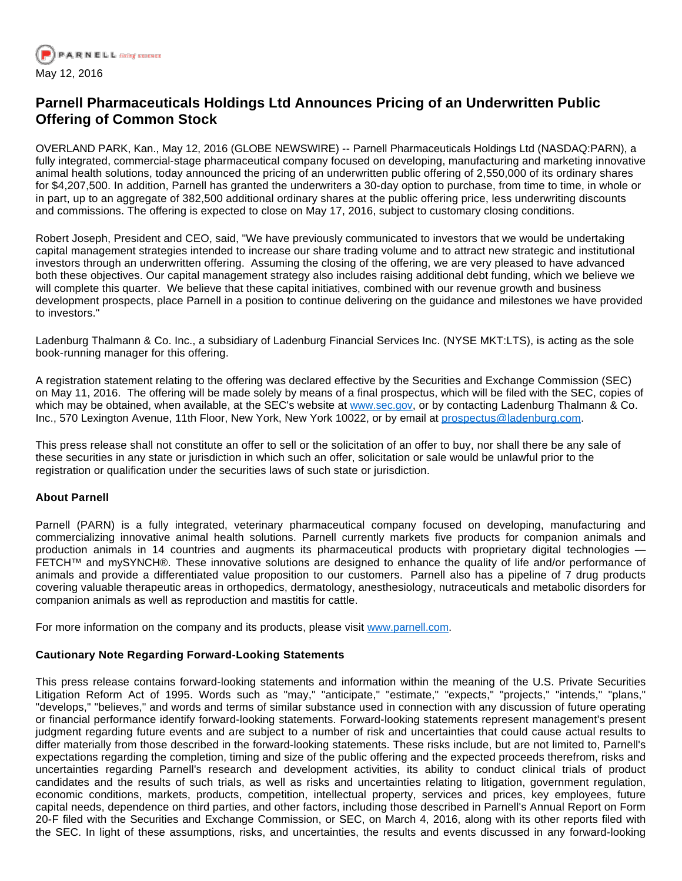

## **Parnell Pharmaceuticals Holdings Ltd Announces Pricing of an Underwritten Public Offering of Common Stock**

OVERLAND PARK, Kan., May 12, 2016 (GLOBE NEWSWIRE) -- Parnell Pharmaceuticals Holdings Ltd (NASDAQ:PARN), a fully integrated, commercial-stage pharmaceutical company focused on developing, manufacturing and marketing innovative animal health solutions, today announced the pricing of an underwritten public offering of 2,550,000 of its ordinary shares for \$4,207,500. In addition, Parnell has granted the underwriters a 30-day option to purchase, from time to time, in whole or in part, up to an aggregate of 382,500 additional ordinary shares at the public offering price, less underwriting discounts and commissions. The offering is expected to close on May 17, 2016, subject to customary closing conditions.

Robert Joseph, President and CEO, said, "We have previously communicated to investors that we would be undertaking capital management strategies intended to increase our share trading volume and to attract new strategic and institutional investors through an underwritten offering. Assuming the closing of the offering, we are very pleased to have advanced both these objectives. Our capital management strategy also includes raising additional debt funding, which we believe we will complete this quarter. We believe that these capital initiatives, combined with our revenue growth and business development prospects, place Parnell in a position to continue delivering on the guidance and milestones we have provided to investors."

Ladenburg Thalmann & Co. Inc., a subsidiary of Ladenburg Financial Services Inc. (NYSE MKT:LTS), is acting as the sole book-running manager for this offering.

A registration statement relating to the offering was declared effective by the Securities and Exchange Commission (SEC) on May 11, 2016. The offering will be made solely by means of a final prospectus, which will be filed with the SEC, copies of which may be obtained, when available, at the SEC's website at [www.sec.gov,](http://www.globenewswire.com/Tracker?data=LRWcJ4K1RzGLus_bi6lT-vEACnmsiemQfb0vk4RdcMjOiw4Ogymct37nlkuzRjOXTrgTuxV-puK9qqRaAPsUMo6s2LMEzaR9JaDK0PEwbYio2xzw3CXLt_MCKa0wbSlexdAQmieqou4pCXPUo5WzutfukaLsRSITqknv6c_KSljMg4tCbO4nS3FTETdD_kmjhL164C0owxipX5CljKcemQ_8qutMEHHYRoPnmuWP90A=) or by contacting Ladenburg Thalmann & Co. Inc., 570 Lexington Avenue, 11th Floor, New York, New York 10022, or by email at [prospectus@ladenburg.com.](http://www.globenewswire.com/Tracker?data=3P-Y9dyqFHqLciytmCu5swEsPb2q85-uphji7qoFVD1ps2KAMplck7A4NNe-1mHcQUhpa5KmdGsVZvMplN6yfQVVtM-Ba1koetMps_XF1So=)

This press release shall not constitute an offer to sell or the solicitation of an offer to buy, nor shall there be any sale of these securities in any state or jurisdiction in which such an offer, solicitation or sale would be unlawful prior to the registration or qualification under the securities laws of such state or jurisdiction.

## **About Parnell**

Parnell (PARN) is a fully integrated, veterinary pharmaceutical company focused on developing, manufacturing and commercializing innovative animal health solutions. Parnell currently markets five products for companion animals and production animals in 14 countries and augments its pharmaceutical products with proprietary digital technologies — FETCH™ and mySYNCH®. These innovative solutions are designed to enhance the quality of life and/or performance of animals and provide a differentiated value proposition to our customers. Parnell also has a pipeline of 7 drug products covering valuable therapeutic areas in orthopedics, dermatology, anesthesiology, nutraceuticals and metabolic disorders for companion animals as well as reproduction and mastitis for cattle.

For more information on the company and its products, please visit [www.parnell.com.](http://www.globenewswire.com/Tracker?data=2T0dKnLyY3JvOtqDl7g7t5hjUm6EbZ8j_uRtq5hZV49y5Oj5-DCJdqlN3Vky7i_nM9C6oR4HEJq2GTX6FfDOUg==)

## **Cautionary Note Regarding Forward-Looking Statements**

This press release contains forward-looking statements and information within the meaning of the U.S. Private Securities Litigation Reform Act of 1995. Words such as "may," "anticipate," "estimate," "expects," "projects," "intends," "plans," "develops," "believes," and words and terms of similar substance used in connection with any discussion of future operating or financial performance identify forward-looking statements. Forward-looking statements represent management's present judgment regarding future events and are subject to a number of risk and uncertainties that could cause actual results to differ materially from those described in the forward-looking statements. These risks include, but are not limited to, Parnell's expectations regarding the completion, timing and size of the public offering and the expected proceeds therefrom, risks and uncertainties regarding Parnell's research and development activities, its ability to conduct clinical trials of product candidates and the results of such trials, as well as risks and uncertainties relating to litigation, government regulation, economic conditions, markets, products, competition, intellectual property, services and prices, key employees, future capital needs, dependence on third parties, and other factors, including those described in Parnell's Annual Report on Form 20-F filed with the Securities and Exchange Commission, or SEC, on March 4, 2016, along with its other reports filed with the SEC. In light of these assumptions, risks, and uncertainties, the results and events discussed in any forward-looking